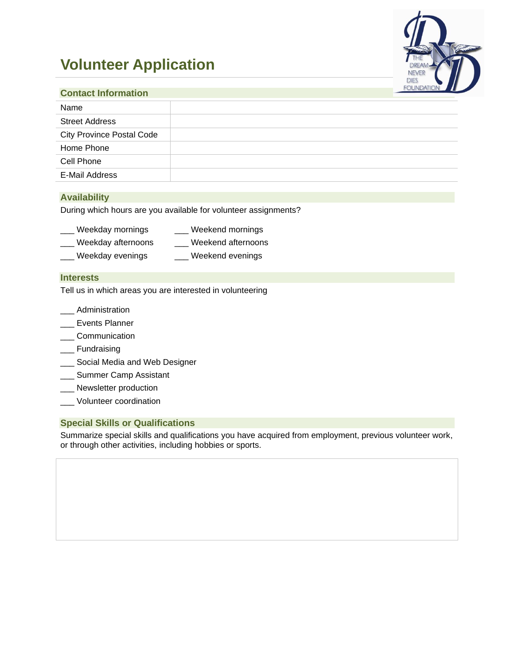# **Volunteer Application**



| <b>Contact Information</b>       | <b>PUURDATION</b> |
|----------------------------------|-------------------|
| Name                             |                   |
| <b>Street Address</b>            |                   |
| <b>City Province Postal Code</b> |                   |
| Home Phone                       |                   |
| Cell Phone                       |                   |
| E-Mail Address                   |                   |

#### **Availability**

During which hours are you available for volunteer assignments?

| Weekday mornings           | Weekend mornings                    |
|----------------------------|-------------------------------------|
| <i>Maalaana aftawaanna</i> | المتمدم وسيختلف المعتما والمتعالمات |

- \_\_\_ Weekday afternoons \_\_\_ Weekend afternoons
- \_ Weekday evenings \_\_\_\_\_ Weekend evenings

## **Interests**

Tell us in which areas you are interested in volunteering

- \_\_\_ Administration
- \_\_\_ Events Planner
- \_\_\_ Communication
- \_\_\_ Fundraising
- \_ Social Media and Web Designer
- **\_\_\_** Summer Camp Assistant
- \_\_\_ Newsletter production
- \_\_\_ Volunteer coordination

### **Special Skills or Qualifications**

Summarize special skills and qualifications you have acquired from employment, previous volunteer work, or through other activities, including hobbies or sports.